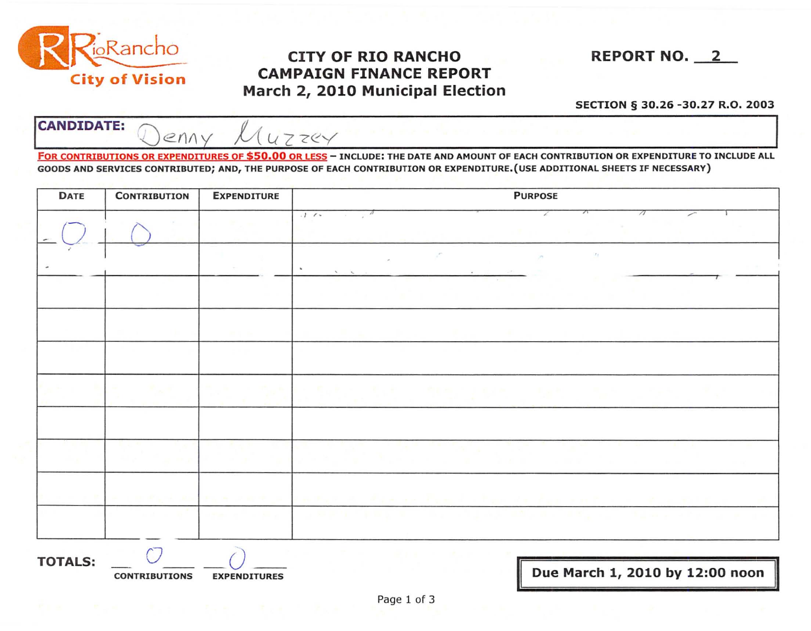

## **EXAMPLE 2010 REPORT NO.** 2010 Marie 1991 Plant City of Vision March 2010 Municipal Election City of Vision CAMPAIGN FINANCE REPORT March 2, 2010 Municipal Election

SECTION § 30.26 -30.27 R.O. 2003

CANDIDATE: Can  $U$  7 zev FOR CONTRIBUTIONS OR EXPENDITURES OF \$50.00 OR LESS - INCLUDE: THE DATE AND AMOUNT OF EACH CONTRIBUTION OR EXPENDITURE TO INCLUDE ALL

GOODS AND SERVICES CONTRIBUTED; AND, THE PURPOSE OF EACH CONTRIBUTION OR EXPENDITURE. (USE ADDITIONAL SHEETS IF NECESSARY)

| <b>DATE</b>    | <b>CONTRIBUTION</b> | <b>EXPENDITURE</b> | <b>PURPOSE</b>                                                                        |  |  |
|----------------|---------------------|--------------------|---------------------------------------------------------------------------------------|--|--|
|                |                     |                    | $\sqrt{2}$<br>$.1 - c$<br>$\overline{a}$<br>$\lambda$<br>$\alpha$                     |  |  |
|                |                     |                    | $\mathcal{F}_{\mathcal{S}}$<br>×<br>$\mathbf{r}$<br>$\mathcal{N}$<br>$\sim$<br>$\sim$ |  |  |
|                |                     |                    |                                                                                       |  |  |
|                |                     |                    |                                                                                       |  |  |
|                |                     |                    |                                                                                       |  |  |
|                |                     |                    | <b>ID</b>                                                                             |  |  |
|                |                     |                    |                                                                                       |  |  |
|                |                     |                    |                                                                                       |  |  |
|                |                     |                    |                                                                                       |  |  |
|                |                     |                    |                                                                                       |  |  |
| <b>TOTALS:</b> |                     |                    | <b>D.A.</b><br><b>DO10 L</b><br>17.00                                                 |  |  |

CONTRIBUTIONS EXPENDITURES **EXPENDITURES** DUE March 1, 2010 by 12:00 noon

II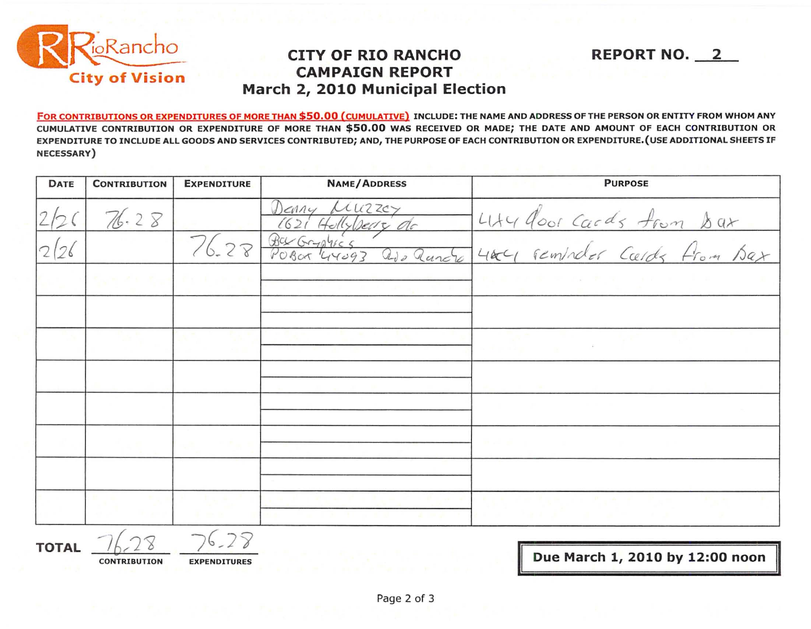

## **CAMPAIGN REPORT CITY OF RIO RANCHO March 2, 2010 Municipal Election**

FOR CONTRIBUTIONS OR EXPENDITURES OF MORE THAN \$50.00 (CUMULATIVE) INCLUDE: THE NAME AND ADDRESS OF THE PERSON OR ENTITY FROM WHOM ANY CUMULATIVE CONTRIBUTION OR EXPENDITURE OF MORE THAN \$50.00 WAS RECEIVED OR MADE; THE DATE AND AMOUNT OF EACH CONTRIBUTION OR EXPENDITURE TO INCLUDE ALL GOODS AND SERVICES CONTRIBUTED; AND, THE PURPOSE OF EACH CONTRIBUTION OR EXPENDITURE.(USE ADDITIONAL SHEETS IF NECESSARY)

| <b>DATE</b> | <b>CONTRIBUTION</b> | <b>EXPENDITURE</b> | <b>NAME/ADDRESS</b>                     | <b>PURPOSE</b>                                             |
|-------------|---------------------|--------------------|-----------------------------------------|------------------------------------------------------------|
|             | 76.28               |                    | uuzzcy<br>$D_{c}$<br>1621 Hollyberry de | Lity door cards from bar<br>Litery reminder Cards from Bax |
|             |                     |                    | 76-28 Barbrylics<br>ado ancré           |                                                            |
|             |                     |                    |                                         | .                                                          |
|             |                     |                    |                                         |                                                            |
|             |                     |                    |                                         |                                                            |
|             |                     |                    |                                         |                                                            |
|             |                     |                    |                                         |                                                            |
|             |                     |                    |                                         |                                                            |
|             |                     |                    |                                         |                                                            |
|             |                     |                    |                                         |                                                            |

**TOTAL**  $\frac{76.28}{\text{contribution}}$   $\frac{76.28}{\text{exponentures}}$ 

**Due March 1, 2010 by 12:00 noon** 

**REPORT NO. 2**